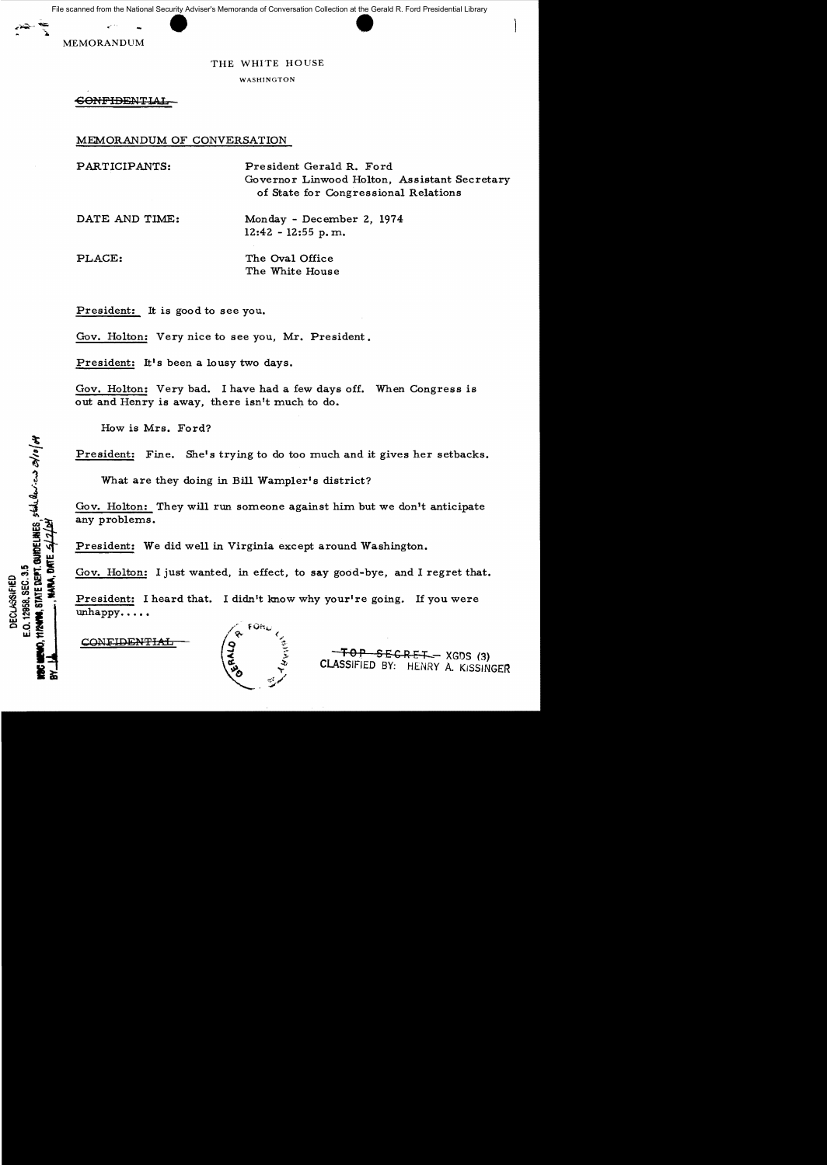File scanned from the National Security Adviser's Memoranda of Conversation Collection at the Gerald R. Ford Presidential Library

MEMORANDUM

## THE WHITE HOUSE

WASHINGTON

**CONFIDENTIAL** 

MEMORANDUM OF CONVERSATION

PARTICIPANTS: President Gerald R. Ford Governor Linwood Holton, Assistant Secretary of State for Congression al Relations

DATE AND TIME: Monday - December 2, 1974 12:42 - 12:55 p. m.

PLACE: The Oval Office

The White House

President: It is good to see you.

Gov. Holton: Very nice to see you, Mr. President.

President: It's been a lousy two days.

Gov. Holton: Very bad. I have had a few days off. When Congress is out and Henry is away, there isn't much to do.

How is Mrs. Ford?

President: Fine. She's trying to do too much and it gives her setbacks.

What are they doing in Bill Wampler's district?

Gov. Holton: They will run someone against him but we don't anticipate any problems.

President: We did well in Virginia except around Washington.

Gov. Holton: I just wanted, in effect, to say good-bye, and I regret that.

President: I heard that. I didn't know why your're going. If you were unhappy....

**CONFIDENTIAL** 



**-FOP SECRET - XGDS (3)** CLASSIFIED BY: HENRY A. KISSINGER

E.O. 12000; SLO. 0.10<br>**TIPANS**, STATE <u>DEPT. QUIDELINES</u>, SEAL ROSTICAS OS/10/04 E.O. 12958, SEC. 3.5 DECLASSIFIED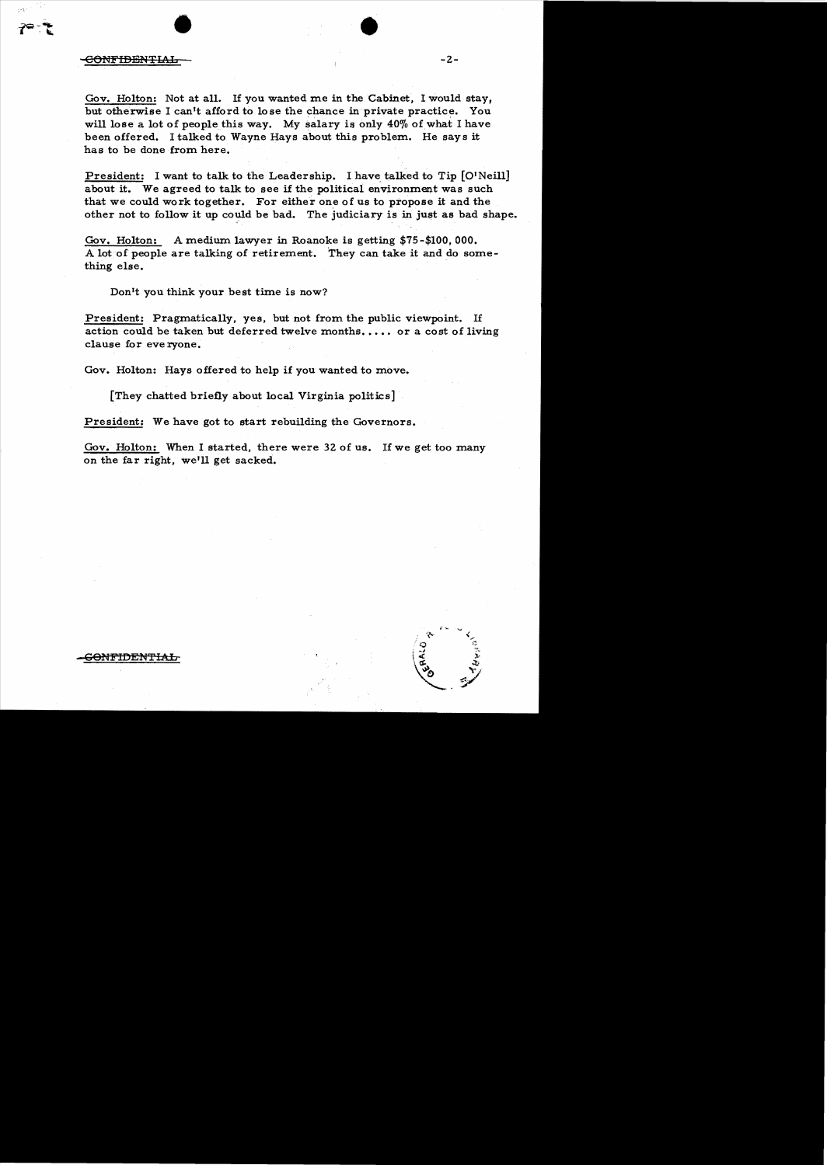## $\bullet$ -eONFIDENTIt..b -2

Gov. Holton: Not at all. If you wanted me in the Cabinet, I would stay, but otherwise I can't afford to lose the chance in private practice. You will lose a lot of people this way. My salary is only 40% of what I have been offered. I talked to Wayne Hays about this problem. He says it has to be done from here.

President: I want to talk to the Leadership. I have talked to Tip [O'Neill] about it. We agreed to talk to see if the political environment was such that we could work together. For either one of us to propose it and the other not to follow it up could be bad. The judiciary is in just as bad shape.

Gov. Holton: A medium lawyer in Roanoke is getting \$75-\$100,000. A lot of people are talking of retirement. They can take it and do something else.

Don't you think your best time is now?

President: Pragmatically, yes, but not from the public viewpoint. If action could be taken but deferred twelve months.... or a cost of living clause for eve ryone.

Gov. Holton: Hays offered to help if you wanted to move.

[They chatted briefly about local Virginia politics]

President: We have got to start rebuilding the Governors.

Gov. Holton: When I started, there were 32 of us. If we get too many on the far right, we'll get sacked.



 $\Theta$ NFIDENTIAL-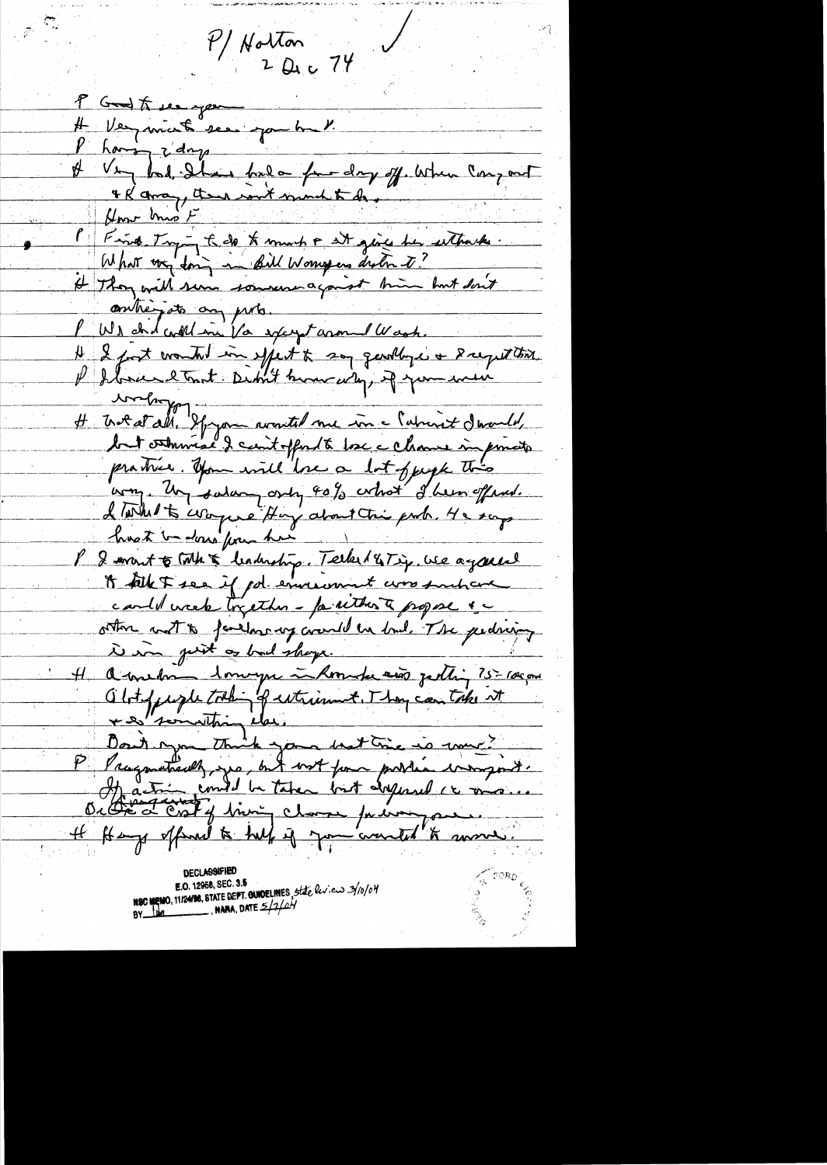$P/M$ orton<br>2 Dec 74 P Grod to see you and the Very minute sea you but Phoning z'days<br># Very bad, Ihan false for days off. When Congrat & Raman, then won't mind to do. " Fried Trying to do to much at give her eitherte. It Thoy will sum sommer against time but don't Il I font wouted in effect to say gardly is a Recept third.<br>Il I brace et Tout Didn't brown why, if you were writing H Trat all, Ifiyam routed me in Madriet Iwards, but otherwise I can't offered to lose a chance in princip practice. you will love a lot operate this way. Un salary only 40% what I hear offered. L'unhet à circycle Hoy about trie prob. 4e soup P & mont to tothe & leadership. Tecker 18 Tip, we again It take Free if got environment was suchard cardo week treather - faitheast propose &c other with farehousing crande in buil. The pedring 4 avendre 1 magne à Romade aux jedins 75-100 pm abity und taking extrement. They can take it Ditte d'Est y bini channe prévingement

**DECLASSIFIED** NOC MEMO, 11/24/98, STATE DEPT. GUNDELINES, State liv.en 3/10/04 **NARA, DATE**  $\frac{5}{4}$  $BY$